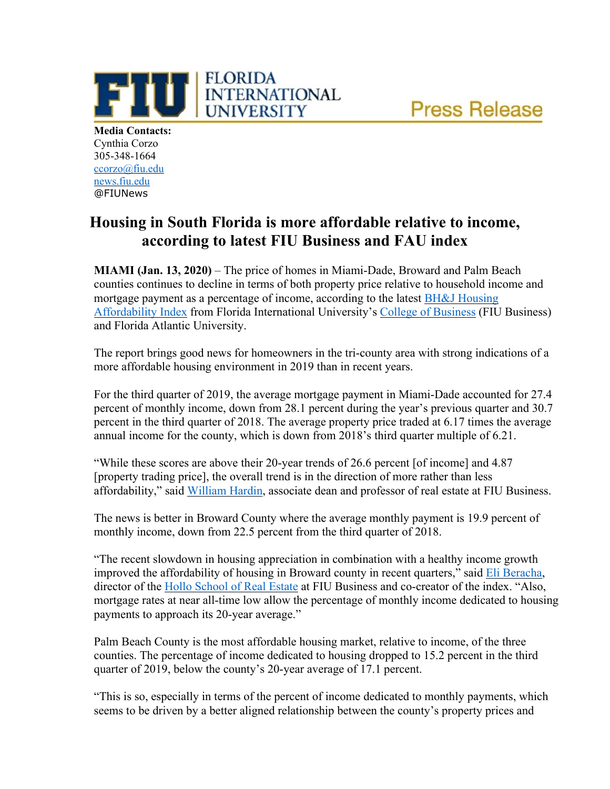**Press Release** 



**Media Contacts:** Cynthia Corzo 305-348-1664 [ccorzo@fiu.edu](mailto:ccorzo@fiu.edu) news.fiu.edu @FIUNews

## **Housing in South Florida is more affordable relative to income, according to latest FIU Business and FAU index**

**MIAMI (Jan. 13, 2020)** – The price of homes in Miami-Dade, Broward and Palm Beach counties continues to decline in terms of both property price relative to household income and mortgage payment as a percentage of income, according to the latest [BH&J Housing](https://business.fiu.edu/academic-departments/real-estate/housing-affordability-index.cfm)  [Affordability Index](https://business.fiu.edu/academic-departments/real-estate/housing-affordability-index.cfm) from Florida International University's [College of Business](https://business.fiu.edu/index.cfm) (FIU Business) and Florida Atlantic University.

The report brings good news for homeowners in the tri-county area with strong indications of a more affordable housing environment in 2019 than in recent years.

For the third quarter of 2019, the average mortgage payment in Miami-Dade accounted for 27.4 percent of monthly income, down from 28.1 percent during the year's previous quarter and 30.7 percent in the third quarter of 2018. The average property price traded at 6.17 times the average annual income for the county, which is down from 2018's third quarter multiple of 6.21.

"While these scores are above their 20-year trends of 26.6 percent [of income] and 4.87 [property trading price], the overall trend is in the direction of more rather than less affordability," said [William](https://business.fiu.edu/faculty/expert-guides.cfm?FlagDirectory=Display&Emp=hardinw) Hardin, associate dean and professor of real estate at FIU Business.

The news is better in Broward County where the average monthly payment is 19.9 percent of monthly income, down from 22.5 percent from the third quarter of 2018.

"The recent slowdown in housing appreciation in combination with a healthy income growth improved the affordability of housing in Broward county in recent quarters," said [Eli Beracha,](https://business.fiu.edu/faculty/expert-guides.cfm?FlagDirectory=Display&EMP=berachae) director of the [Hollo School of Real Estate](https://business.fiu.edu/academic-departments/real-estate/index.cfm) at FIU Business and co-creator of the index. "Also, mortgage rates at near all-time low allow the percentage of monthly income dedicated to housing payments to approach its 20-year average."

Palm Beach County is the most affordable housing market, relative to income, of the three counties. The percentage of income dedicated to housing dropped to 15.2 percent in the third quarter of 2019, below the county's 20-year average of 17.1 percent.

"This is so, especially in terms of the percent of income dedicated to monthly payments, which seems to be driven by a better aligned relationship between the county's property prices and